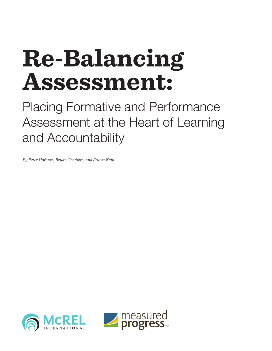# **Re-Balancing Assessment:**

Placing Formative and Performance Assessment at the Heart of Learning and Accountability

*By Peter Hofman, Bryan Goodwin, and Stuart Kahl*



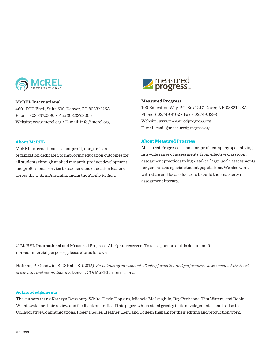

# **McREL International**

4601 DTC Blvd., Suite 500, Denver, CO 80237 USA Phone: 303.337.0990 • Fax: 303.337.3005 Website: www.mcrel.org • E-mail: info@mcrel.org

### **About McREL**

McREL International is a nonprofit, nonpartisan organization dedicated to improving education outcomes for all students through applied research, product development, and professional service to teachers and education leaders across the U.S., in Australia, and in the Pacific Region.



# **Measured Progress**

100 Education Way, P.O. Box 1217, Dover, NH 03821 USA Phone: 603.749.9102 • Fax: 603.749.6398 Website: www.measuredprogress.org E-mail: mail@measuredprogress.org

### **About Measured Progress**

Measured Progress is a not-for-profit company specializing in a wide range of assessments, from effective classroom assessment practices to high-stakes, large-scale assessments for general and special student populations. We also work with state and local educators to build their capacity in assessment literacy.

© McREL International and Measured Progress. All rights reserved. To use a portion of this document for non-commercial purposes, please cite as follows:

Hofman, P., Goodwin, B., & Kahl, S. (2015). *Re-balancing assessment: Placing formative and performance assessment at the heart of learning and accountability*. Denver, CO: McREL International.

### **Acknowledgements**

The authors thank Kathryn Dewsbury-White, David Hopkins, Michele McLaughlin, Ray Pecheone, Tim Waters, and Robin Wisniewski for their review and feedback on drafts of this paper, which aided greatly in its development. Thanks also to Collaborative Communications, Roger Fiedler, Heather Hein, and Colleen Ingham for their editing and production work.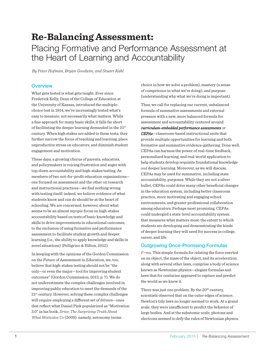# **Re-Balancing Assessment:** Placing Formative and Performance Assessment at the Heart of Learning and Accountability

*By Peter Hofman, Bryan Goodwin, and Stuart Kahl*

# **Overview**

What gets tested is what gets taught. Ever since Frederick Kelly, Dean of the College of Education at the University of Kansas, introduced the multiplechoice test in 1914, we've increasingly tested what's easy to measure, not necessarily what matters. While a fine approach for many basic skills, it falls far short of facilitating the deeper learning demanded in the  $21<sup>st</sup>$ century. When high stakes are added to these tests, they further narrow the focus of teaching and learning, place unproductive stress on educators, and diminish student engagement and motivation.

These days, a growing chorus of parents, educators, and policymakers is voicing frustration and anger with top-down accountability and high-stakes testing. As members of two not-for-profit education organizations one focused on assessment and the other on research and instructional practices—we find nothing wrong with testing itself; indeed, we believe evidence of what students know and can do should be at the heart of schooling. We are concerned, however, about what seems to be an almost myopic focus on high-stakes accountability based on tests of basic knowledge and skills to drive improvements in educational outcomes, to the exclusion of using formative and performance assessment to facilitate student growth and deeper learning (i.e., the ability to apply knowledge and skills in novel situations) (Pelligrino & Hilton, 2012).

In keeping with the opinions of the Gordon Commission on the Future of Assessment in Education, we, too, believe that high-stakes testing should not be "the only—or even the major—tool for improving student outcomes" (Gordon Commission, 2013, p. 7). We do not underestimate the complex challenges involved in improving public education to meet the demands of the  $21<sup>st</sup>$  century. However, solving these complex challenges will require employing a different set of drivers—ones that reflect what Daniel Pink popularized as "Motivation 3.0" in his book, *Drive: The Surprising Truth About What Motivates Us* (2009): namely, autonomy (some

choice in how we solve a problem), mastery (a sense of competence in what we're doing), and purpose (understanding why what we're doing is important).

Thus, we call for replacing our current, unbalanced formula of summative assessments and external pressure with a new, more balanced formula for assessment and accountability centered around *curriculum-embedded performance assessments* or *CEPAs*—classroom-based instructional units that provide multiple opportunities for learning and both formative and summative evidence-gathering. Done well, CEPAs can harness the power of real-time feedback, personalized learning, and real-world application to help students develop requisite foundational knowledge *and* deeper learning. Moreover, as we will discuss, CEPAs may be used for summative, including state accountability, purposes. While they are not a silver bullet, CEPAs could drive many other beneficial changes in the education system, including better classroom practice, more motivating and engaging school environments, and greater professional collaboration among educators. Perhaps most promising, CEPAs could undergird a state-level accountability system that measures what matters most: the extent to which students are developing and demonstrating the kinds of deeper learning they will need for success in college, career, and life.

# Outgrowing Once-Promising Formulas

*F=ma*. This simple formula for relating the force exerted on an object, the mass of the object, and its acceleration, along with several other laws, comprise a body of science known as Newtonian physics—elegant formulas and laws that for centuries appeared to capture and predict the world as we knew it.

There was just one problem. By the 20<sup>th</sup> century, scientists observed that on the outer edges of science, Newton's tidy laws no longer seemed to work. At a grand scale, they were insufficient to predict the behavior of large bodies. And at the subatomic scale, photons and electrons seemed to defy the rules of Newtonian physics.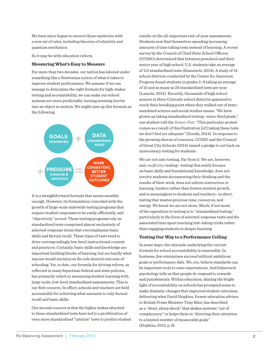We have since begun to unravel these mysteries with a new set of rules, including theories of relativity and quantum mechanics.

So it may be with education reform.

### **Measuring What's Easy to Measure**

For more than two decades, our nation has labored under something like a Newtonian notion of what it takes to improve student performance. We assume if we can manage to determine the right formula for high-stakes testing and accountability, we can make our school systems act more predictably, turning seeming inertia into an object in motion. We might sum up this formula as the following:



It is a straightforward formula that seems sensible enough. However, its formulation coincided with the growth of large-scale statewide testing programs that require student responses to be easily, efficiently, and "objectively" scored. These testing programs rely on standardized tests comprised almost exclusively of selected-response items that overemphasize basic skills and factual recall. These types of tests tend to drive correspondingly low-level instructional content and practices. Certainly, basic skills and knowledge are important building blocks of learning, but are hardly what anyone would envision as the sole desired outcome of schooling. Yet, to date, our formula for driving reform, as reflected in many bipartisan federal and state policies, has primarily relied on measuring student learning with large-scale, low-level standardized assessments. This is our first concern. In effect, schools and teachers are held accountable for achieving what amounts to only factual recall and basic skills.

Our second concern is that the higher stakes attached to these standardized tests have led to a proliferation of even more standardized "interim" tests to predict student results on the all-important end-of-year assessments. Students now find themselves spending increasing amounts of time taking tests instead of learning. A recent survey by the Council of Chief State School Officers (CCSSO) determined that between preschool and their senior year of high school, U.S. students take an average of 113 standardized tests (Kamenetz, 2014). A study of 14 school districts conducted by the Center for American Progress found students in grades 3–8 taking an average of 10 and as many as 20 standardized tests per year (Lazarín, 2014). Recently, thousands of high school seniors in three Colorado school districts appeared to reach their breaking point when they walked out of statemandated science and social studies exams. "We have grown up taking standardized testing—since third grade," one student told the *Denver Post*. "This particular protest comes as a result of this frustration [of ] taking these tests we don't feel are adequate" (Gorski, 2014). In response to the growing chorus of concerns, CCSSO and the Council of Great City Schools (2014) issued a pledge to cut back on unnecessary testing for students.

We are not anti-testing. Far from it. We are, however, anti-*ineffective* testing—testing that solely focuses on basic skills and foundational knowledge, does not involve students documenting their thinking and the results of their work, does not inform instruction or learning, hinders rather than fosters student growth, and is meaningless to students and teachers—in short, testing that wastes precious time, resources, and energy. We know we are not alone. Much, if not most, of the opposition to testing is to "standardized testing," particularly in the form of selected-response tests and the associated time spent teaching test-taking tricks rather than engaging students in deeper learning.

### **Testing Our Way to a Performance Ceiling**

In some ways, the rationale underlying the current formula for school accountability is reasonable. In business, few enterprises succeed without ambitious goals or performance data. We, too, believe standards can be important tools to raise expectations. And behavioral psychology tells us that people do respond to rewards and punishments. Within education, shining the bright light of accountability on schools has prompted some to make dramatic changes that improved student outcomes, delivering what David Hopkins, former education advisor to British Prime Minister Tony Blair, has described as a "short, sharp shock" that shakes systems "out of complacency" or helps them in "directing their attention to a limited number of measurable goals" (Hopkins, 2013, p. 9).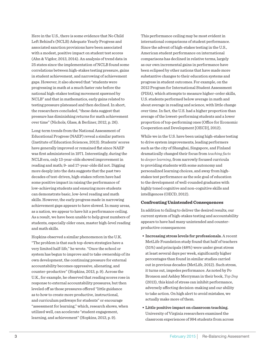Here in the U.S., there is some evidence that No Child Left Behind's (NCLB) Adequate Yearly Progress and associated sanction provisions have been associated with a modest, positive impact on student test scores (Ahn & Vigdor, 2013, 2014). An analysis of trend data in 25 states since the implementation of NCLB found some correlations between high-stakes testing pressure, gains in student achievement, and narrowing of achievement gaps. However, it also showed that "students were progressing in math at a much faster rate before the national high-stakes testing movement spawned by NCLB" and that in mathematics, early gains related to testing pressure plateaued and then declined. In short, the researchers concluded, "these data suggest that pressure has diminishing returns for math achievement over time" (Nichols, Glass, & Berliner, 2012, p. 26).

Long-term trends from the National Assessment of Educational Progress (NAEP) reveal a similar pattern (Institute of Education Sciences, 2013). Students' scores have generally improved or remained flat since NAEP was first administered in 1971. Interestingly, during the NCLB era, only 13-year-olds showed improvement in reading and math; 9- and 17-year-olds did not. Digging more deeply into the data suggests that the past two decades of test-driven, high-stakes reform have had some positive impact in raising the performance of low-achieving students and ensuring more students can demonstrate basic, low-level reading and math skills. However, the early progress made in narrowing achievement gaps appears to have slowed. In many areas, as a nation, we appear to have hit a performance ceiling. As a result, we have been unable to help great numbers of students, especially older ones, master high-level reading and math skills.

Hopkins observed a similar phenomenon in the U.K. "The problem is that such top-down strategies have a very limited half-life," he wrote. "Once the school or system has begun to improve and to take ownership of its own development, the continuing pressure for external accountability becomes oppressive, alienating, and counter-productive" (Hopkins, 2013, p. 9). Across the U.K., for example, he observed that reading scores rose in response to external accountability pressures, but then leveled off as those pressures offered "little guidance as to how to create more productive, instructional, and curriculum pathways for students" or encourage "assessment for learning," which, research shows, when utilized well, can accelerate "student engagement, learning, and achievement" (Hopkins, 2013, p. 9).

This performance ceiling may be most evident in international comparisons of student performance. Since the advent of high-stakes testing in the U.S., American student performance on international comparisons has declined in relative terms, largely as our own incremental gains in performance have been eclipsed by other nations that have made more substantive changes to their education systems and progress in student outcomes. For example, on the 2012 Program for International Student Assessment (PISA), which attempts to measure higher-order skills, U.S. students performed below average in math and about average in reading and science, with little change over time. In fact, the U.S. had a higher proportion than average of the lowest-performing students and a lower proportion of top-performing ones (Office for Economic Cooperation and Development [OECD], 2012).

While we in the U.S. have been using high-stakes testing to drive system improvements, leading performers such as the city of Shanghai, Singapore, and Finland dramatically changed their focus from *teaching facts*  to *deeper learning*, from narrowly focused curricula to providing students with some autonomy and personalized learning choices, and away from highstakes test performance as the sole goal of education to the development of well-rounded graduates with highly toned cognitive and non-cognitive skills and intelligences (OECD, 2012).

### **Confronting Unintended Consequences**

In addition to failing to deliver the desired results, our current system of high-stakes testing and accountability appears to have had many unintended and counterproductive consequences:

- **• Increasing stress levels for professionals.** A recent MetLife Foundation study found that half of teachers (51%) and principals (48%) were under great stress at least several days per week, significantly higher percentages than found in similar studies carried out in previous decades (MetLife, 2012). Such stress, it turns out, impedes performance. As noted by Po Bronson and Ashley Merryman in their book, *Top Dog* (2013), this kind of stress can inhibit performance, adversely affecting decision-making and our ability to take action. On high alert to avoid mistakes, we actually make more of them.
- **• Little positive impact on classroom teaching.** University of Virginia researchers examined the classroom experiences of 994 students from across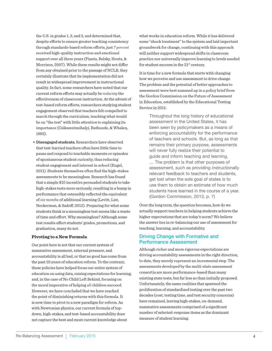the U.S. in grades 1, 3, and 5, and determined that, despite efforts to ensure greater teaching consistency through standards-based reform efforts, just *7 percent* received high-quality instruction and emotional support over all three years (Pianta, Belsky, Houts, & Morrison, 2007). While these results might not differ from any obtained prior to the passage of NCLB, they certainly illustrate that its implementation did not result in widespread improvement in instructional quality. In fact, some researchers have noted that our current reform efforts may actually be *reducing* the effectiveness of classroom instruction. At the advent of test-based reform efforts, researchers studying student engagement observed that teachers felt compelled to march through the curriculum, teaching what would be on "the test" with little attention to explaining its importance (Csikszentmihalyi, Rathunde, & Whalen, 1993).

**• Disengaged students.** Researchers have observed that test-harried teachers often have little time to pause and respond to teachable moments or episodes of spontaneous student curiosity, thus reducing student engagement and interest in school (Engel, 2011). Students themselves often find the high-stakes assessments to be meaningless. Research has found that a simple \$10 incentive persuaded students to take high-stakes tests more seriously, resulting in a bump in performance that ostensibly reflected the equivalent of *six months* of additional learning (Levitt, List, Neckerman, & Sadoff, 2012). Preparing for what some students think is a meaningless test seems like a waste of time and effort. Why meaningless? Although some test results affect students' grades, promotions, and graduation, many do not.

### **Pivoting to a New Formula**

Our point here is not that our current system of summative assessment, external pressure, and accountability is all bad, or that no good has come from the past 25 years of education reform. To the contrary, these policies have helped focus our entire system of education on using data, raising expectations for learning, and, in the case of No Child Left Behind, focusing on the moral imperative of helping *all* children succeed. However, we have concluded that we have reached the point of diminishing returns with this formula. It is now time to pivot to a new paradigm for reform. As with Newtonian physics, our current formula of topdown, high-stakes, and test-based accountability does not capture the best and most current knowledge about

what works in education reform. While it has delivered some "shock treatment" to the system and laid important groundwork for change, continuing with this approach will neither support widespread shifts in classroom practice nor universally improve learning to levels needed for student success in the  $21<sup>st</sup>$  century.

It is time for a new formula that starts with changing how we perceive and use assessment to drive change. The problem and the potential of better approaches to assessment were best summed up in a policy brief from the Gordon Commission on the Future of Assessment in Education, established by the Educational Testing Service in 2011:

> Throughout the long history of educational assessment in the United States, it has been seen by policymakers as a means of enforcing accountability for the performance of teachers and schools. But, as long as that remains their primary purpose, assessments will never fully realize their potential to guide and inform teaching and learning. … The problem is that other purposes of assessment, such as providing instructionally relevant feedback to teachers and students, get lost when the sole goal of states is to use them to obtain an estimate of how much students have learned in the course of a year. (Gordon Commission, 2013, p. 7)

Over the long term, the question becomes, how do we actually support teachers in helping students achieve the higher expectations that are today's norm? We believe the answer lies in re-balancing our use of assessment for teaching, learning, and accountability.

# Driving Change with Formative and Performance Assessment

Although richer and more rigorous expectations are driving accountability assessments in the right direction, to date, they merely represent an incremental step. The assessments developed by the multi-state assessment consortia are more performance-based than many existing state tests, but far less so than initially proposed. Unfortunately, the same realities that spawned the proliferation of standardized testing over the past two decades (cost, testing time, and test security concerns) have remained, leaving high-stakes, on-demand, summative assessments comprised of a significant number of selected-response items as the dominant measure of student learning.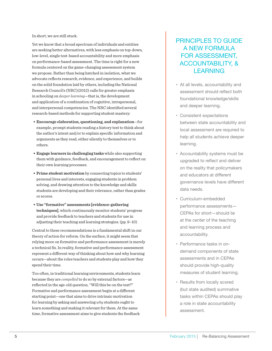In short, we are still stuck.

Yet we know that a broad spectrum of individuals and entities are seeking better alternatives, with less emphasis on top-down, low-level, single test-based accountability and more emphasis on performance-based assessment. The time is right for a new formula centered on the game-changing assessment system we propose. Rather than being hatched in isolation, what we advocate reflects research, evidence, and experience, and builds on the solid foundation laid by others, including the National Research Council's (NRC)(2012) calls for greater emphasis in schooling on *deeper learning*—that is, the development and application of a combination of cognitive, intrapersonal, and interpersonal competencies. The NRC identified several research-based methods for supporting student mastery:

- **• Encourage elaboration, questioning, and explanation**—for example, prompt students reading a history text to think about the author's intent and/or to explain specific information and arguments as they read, either silently to themselves or to others.
- **• Engage learners in challenging tasks** while also supporting them with guidance, feedback, and encouragement to reflect on their own learning processes.
- **• Prime student motivation** by connecting topics to students' personal lives and interests, engaging students in problem solving, and drawing attention to the knowledge and skills students are developing and their relevance, rather than grades or scores.
- **• Use "formative" assessments [evidence-gathering techniques]**, which continuously monitor students' progress and provide feedback to teachers and students for use in adjusting their teaching and learning strategies. (pp. 9–10)

Central to these recommendations is a fundamental shift in our theory of action for reform. On the surface, it might seem that relying more on formative and performance assessment is merely a technical fix. In reality, formative and performance assessment represent a different way of thinking about how and why learning occurs—about the roles teachers and students play and how they spend their time.

Too often, in traditional learning environments, students learn because they are *compelled* to do so by external factors—as reflected in the age-old question, "Will this be on the test?" Formative and performance assessment begin at a different starting point—one that aims to drive intrinsic motivation for learning by asking and answering *why* students ought to learn something and making it relevant for them. At the same time, formative assessment aims to give students the feedback

# PRINCIPLES TO GUIDE A NEW FORMULA FOR ASSESSMENT, ACCOUNTABILITY, & **LEARNING**

- At all levels, accountability and assessment should reflect both foundational knowledge/skills and deeper learning.
- • Consistent expectations between state accountability and local assessment are required to help all students achieve deeper learning.
- Accountability systems must be upgraded to reflect and deliver on the reality that policymakers and educators at different governance levels have different data needs.
- • Curriculum-embedded performance assessments— CEPAs for short—should lie at the center of the teaching and learning process and accountability.
- Performance tasks in ondemand components of state assessments and in CEPAs should provide high-quality measures of student learning.
- Results from locally scored (but state audited) summative tasks within CEPAs should play a role in state accountability assessment.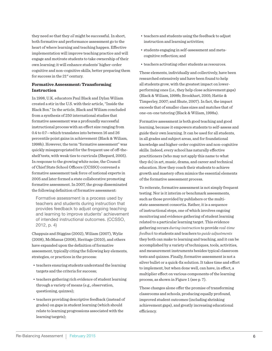they need so that they *all* might be successful. In short, both formative and performance assessment go to the heart of where learning and teaching happen. Effective implementation will improve teaching practice and will engage and motivate students to take ownership of their own learning; it will enhance students' higher-order cognitive and non-cognitive skills, better preparing them for success in the 21st century.

# **Formative Assessment: Transforming Instruction**

In 1998, U.K. educators Paul Black and Dylan Wiliam created a stir in the U.S. with their article, "Inside the Black Box." In the article, Black and Wiliam concluded from a synthesis of 250 international studies that formative assessment was a profoundly successful instructional process with an effect size ranging from 0.4 to 0.7—which translates into between 16 and 26 percentile point gains in achievement (Black & Wiliam, 1998b). However, the term "formative assessment" was quickly misappropriated for the frequent use of off-theshelf tests, with weak ties to curricula (Shepard, 2005). In response to the growing white noise, the Council of Chief State School Officers (CCSSO) convened a formative assessment task force of national experts in 2005 and later formed a state collaborative promoting formative assessment. In 2007, the group disseminated the following definition of formative assessment:

Formative assessment is a process used by teachers and students during instruction that provides feedback to adjust ongoing teaching and learning to improve students' achievement of intended instructional outcomes. (CCSSO, 2012, p. 4)

Chappuis and Stiggins (2002), Wiliam (2007), Wylie (2008), McManus (2008), Heritage (2010), and others have expanded upon the definition of formative assessment, typically citing the following key elements, strategies, or practices in the process:

- teachers ensuring students understand the learning targets and the criteria for success;
- teachers gathering rich evidence of student learning through a variety of means (e.g., observation, questioning, quizzes);
- teachers providing descriptive feedback (instead of grades) on gaps in student learning (which should relate to learning progressions associated with the learning targets);
- teachers and students using the feedback to adjust instruction and learning activities;
- students engaging in self-assessment and metacognitive reflection; and
- teachers activating other students as resources.

These elements, individually and collectively, have been researched extensively and have been found to help all students grow, with the greatest impact on lowerperforming ones (i.e., they help close achievement gaps) (Black & Wiliam, 1998b; Brookhart, 2005; Hattie & Timperley, 2007; and Shute, 2007). In fact, the impact exceeds that of smaller class sizes and matches that of one-on-one tutoring (Black & Wiliam, 1998a).

Formative assessment is both good teaching and good learning, because it empowers students to self-assess and guide their own learning. It can be used for all students, in all grades and subject areas, and for foundational knowledge and higher-order cognitive and non-cognitive skills. Indeed, every school has naturally effective practitioners (who may not apply this name to what they do) in art, music, drama, and career and technical education. How they coach their students to achieve growth and mastery often mimics the essential elements of the formative assessment process.

To reiterate, formative assessment is not simply frequent testing. Nor is it interim or benchmark assessments, such as those provided by publishers or the multistate assessment consortia. Rather, it is a sequence of instructional steps, one of which involves ongoing monitoring and evidence gathering of student learning related to a particular learning target. This evidence gathering occurs *during instruction* to provide *real-time feedback* to students and teachers to *guide adjustments* they both can make to learning and teaching, and it can be accomplished by a variety of techniques, tools, activities, and measurement instruments besides typical classroom tests and quizzes. Finally, formative assessment is not a silver bullet or a quick-fix solution. It takes time and effort to implement, but when done well, can have, in effect, a multiplier effect on various components of the learning process, as shown in Figure 1 (see p. 7).

These changes alone offer the promise of transforming classrooms and schools, producing equally profound, improved student outcomes (including shrinking achievement gaps), and greatly increasing educational efficiency.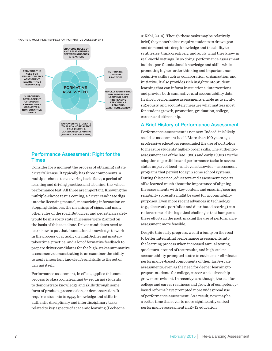

# Performance Assessment: Right for the Times

Consider for a moment the process of obtaining a state driver's license. It typically has three components: a multiple-choice test covering basic facts, a period of learning and driving practice, and a behind-the-wheel performance test. All three are important. Knowing the multiple-choice test is coming, a driver candidate digs into the licensing manual, memorizing information on stopping distances, the meanings of signs, and many other rules of the road. But driver and pedestrian safety would be in a sorry state if licenses were granted on the basis of this test alone. Driver candidates need to learn how to put that foundational knowledge to work in the process of actually driving. Achieving mastery takes time, practice, and a lot of formative feedback to prepare driver candidates for the high-stakes summative assessment: demonstrating to an examiner the ability to apply important knowledge and skills to the act of driving itself.

Performance assessment, in effect, applies this same process to classroom learning by requiring students to demonstrate knowledge and skills through some form of product, presentation, or demonstration. It requires students to *apply* knowledge and skills in authentic disciplinary and interdisciplinary tasks related to key aspects of academic learning (Pecheone

& Kahl, 2014). Though these tasks may be relatively brief, they nonetheless require students to draw upon and demonstrate deep knowledge and the ability to synthesize, think creatively, and apply what they know in real-world settings. In so doing, performance assessment builds upon foundational knowledge and skills while promoting higher-order thinking and important noncognitive skills such as collaboration, organization, and initiative. It also provides rich insights into student learning that can inform instructional interventions and provide both summative **and** accountability data. In short, performance assessments enable us to richly, rigorously, and accurately measure what matters most for student growth, promotion, graduation, college, career, and citizenship.

# A Brief History of Performance Assessment

Performance assessment is not new. Indeed, it is likely as old as assessment itself. More than 100 years ago, progressive educators encouraged the use of portfolios to measure students' higher-order skills. The authenticassessment era of the late 1980s and early 1990s saw the adoption of portfolios and performance tasks in several states as part of local—and even statewide—assessment programs that persist today in some school systems. During this period, educators and assessment experts alike learned much about the importance of aligning the assessments with key content and ensuring scoring reliability so results might be used for accountability purposes. Even more recent advances in technology (e.g., electronic portfolios and distributed scoring) can relieve some of the logistical challenges that hampered these efforts in the past, making the use of performance assessment more feasible.

Despite this early progress, we hit a bump on the road to better integrating performance assessments into the learning process when increased annual testing, quick turn-around of test results, and high-stakes accountability prompted states to cut back or eliminate performance-based components of their large-scale assessments, even as the need for deeper learning to prepare students for college, career, and citizenship grew more evident. In recent years, though, the call for college and career readiness and growth of competencybased reforms have prompted more widespread use of performance assessment. As a result, now may be a better time than ever to more significantly embed performance assessment in K–12 education.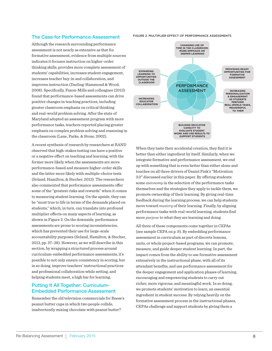### The Case for Performance Assessment

Although the research surrounding performance assessment is not nearly as extensive as that for formative assessment, evidence from multiple sources indicates it focuses instruction on higher-order thinking skills, provides more complete assessment of students' capabilities, increases student engagement, increases teacher buy-in and collaboration, and improves instruction (Darling-Hammond & Wood, 2008). Specifically, Faxon-Mills and colleagues (2013) found that performance-based assessments can drive positive changes in teaching practices, including greater classroom emphasis on critical thinking and real-world problem solving. After the state of Maryland adopted an assessment program with more performance tasks, teachers reported placing greater emphasis on complex problem solving and reasoning in the classroom (Lane, Parke, & Stone, 2002).

A recent synthesis of research by researchers at RAND observed that high-stakes testing can have a positive or a negative effect on teaching and learning, with the former more likely when the assessments are more performance-based and measure higher-order skills and the latter more likely with multiple-choice tests (Soland, Hamilton, & Stecher, 2013). The researchers also commented that performance assessments offer some of the "greatest risks and rewards" when it comes to measuring student learning. On the upside, they can be "most true to life in terms of the demands placed on students," which, in turn, can translate into profound multiplier effects on many aspects of learning, as shown in Figure 2. On the downside, performance assessments are prone to scoring inconsistencies, which has prevented their use for large-scale accountability purposes (Soland, Hamilton, & Stecher, 2013, pp. 37–38). However, as we will describe in this section, by wrapping a structured process around curriculum-embedded performance assessments, it's possible to not only ensure consistency in scoring, but in so doing, improve teachers' instructional practices and professional collaboration while setting, and helping students meet, a high bar for learning.

# Putting It All Together: Curriculum-Embedded Performance Assessment

Remember the old television commercials for Reese's peanut butter cups in which two people collide, inadvertently mixing chocolate with peanut butter?

### FIGURE 2. MULTIPLIER EFFECT OF PERFORMANCE ASSESSMENTS



When they taste their accidental creation, they find it is better than either ingredient by itself. Similarly, when we integrate formative and performance assessment, we end up with something that is even better than either alone and touches on all three drivers of Daniel Pink's "Motivation 3.0" discussed earlier in this paper. By offering students some *autonomy* in the selection of the performance tasks themselves and the strategies they apply to tackle them, we promote ownership of their learning. By giving real-time feedback during the learning process, we can help students move toward *mastery* of their learning. Finally, by aligning performance tasks with real-world learning, students find more *purpose* to what they are learning and doing.

All three of these components come together in CEPAs (see sample CEPA on p. 9). By embedding performance assessment in curriculum as part of discrete lessons, units, or whole project-based programs, we can promote, measure, and guide deeper student learning. In part, the impact comes from the ability to use formative assessment extensively in the instructional phase, with all of its attendant benefits, and use performance assessment for the deeper engagement and application phases of learning, encouraging and empowering students to carry out richer, more rigorous, and meaningful work. In so doing, we promote students' motivation to learn, an essential ingredient in student success. By relying heavily on the formative assessment process in the instructional phases, CEPAs challenge and support students by giving them a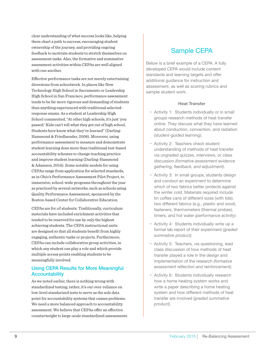clear understanding of what success looks like, helping them chart a path to success, encouraging student ownership of the journey, and providing ongoing feedback to motivate students to stretch themselves on assessment tasks. Also, the formative and summative assessment activities within CEPAs are well aligned with one another.

Effective performance tasks are not merely entertaining diversions from schoolwork. In places like New Technology High School in Sacramento or Leadership High School in San Francisco, performance assessment tends to be far more rigorous and demanding of students than anything experienced with traditional selectedresponse exams. As a student at Leadership High School commented, "At other high schools, it's just 'you passed.' Kids can't tell what they got out of high school. Students here know what they've learned" (Darling-Hammond & Friedlaender, 2008). Moreover, using performance assessment to measure and demonstrate student learning does more than traditional test-based accountability schemes to change teaching practice and improve student learning (Darling-Hammond & Adamson, 2014). Some notable models for using CEPAs range from application for selected standards, as in Ohio's Performance Assessment Pilot Project, to immersive, school-wide programs throughout the year as practiced by several networks, such as schools using Quality Performance Assessment, sponsored by the Boston-based Center for Collaborative Education.

CEPAs are for *all* students. Traditionally, curriculum materials have included enrichment activities that tended to be reserved for use by only the highest achieving students. The CEPA instructional units are designed so that all students benefit from highly engaging, authentic tasks or projects. Furthermore, CEPAs can include collaborative group activities, in which any student can play a role and which provide multiple access points enabling students to be meaningfully involved.

# Using CEPA Results for More Meaningful **Accountability**

As we noted earlier, there is nothing wrong with standardized testing; rather, it's our over-reliance on low-level standarized tests to serve as the sole data point for accountability systems that causes problems. We need a more balanced approach to accountability assessment. We believe that CEPAs offer an effective counterweight to large-scale standardized assessments

# Sample CEPA

Below is a brief example of a CEPA. A fully developed CEPA would include content standards and learning targets and offer additional guidance for instruction and assessment, as well as scoring rubrics and sample student work.

# **Heat Transfer**

- • Activity 1: Students individually or in small groups research methods of heat transfer online. They discuss what they have learned about conduction, convection, and radiation *(student-guided learning).*
- Activity 2: Teachers check student understanding of methods of heat transfer via ungraded quizzes, interviews, or class discussion *(formative assessment evidence gathering, feedback, and adjustment).*
- • Activity 3: In small groups, students design and conduct an experiment to determine which of two fabrics better protects against the winter cold. Materials required include tin coffee cans of different sizes (with lids), two different fabrics (e.g., plastic and wool), fasteners, thermometers (thermal probes), timers, and hot water *(performance activity)*.
- • Activity 4: Students individually write up a formal lab report of their experiment *(graded summative product).*
- • Activity 5: Teachers, via questioning, lead class discussion of how methods of heat transfer played a role in the design and implementation of the research *(formative assessment reflection and reinforcement).*
- • Activity 6: Students individually research how a home heating system works and write a paper describing a home heating system and how different methods of heat transfer are involved *(graded summative product).*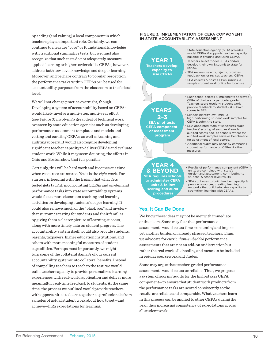by adding (and valuing) a local component in which teachers play an important role. Certainly, we can continue to measure "core" or foundational knowledge with traditional summative tests, but we must also recognize that such tests do not adequately measure applied learning or higher-order skills. CEPAs, however, address both low-level knowledge and deeper learning. Moreover, and perhaps contrary to popular perception, the performance tasks within CEPAs *can* be used for accountability purposes from the classroom to the federal level.

We will not change practice overnight, though. Developing a system of accountability based on CEPAs would likely involve a multi-step, multi-year effort (see Figure 3) involving a great deal of technical work overseen by state education agencies such as developing performance assessment templates and models and vetting and curating CEPAs, as well as training and auditing scorers. It would also require developing significant teacher capacity to deliver CEPAs and evaluate student work. While it may seem daunting, the efforts in Ohio and Boston show that it is possible.

Certainly, this will be hard work and it comes at a time when resources are scarce. Yet it is the *right* work. For starters, in keeping with the truism that what gets tested gets taught, incorporating CEPAs and on-demand performance tasks into state accountability systems would focus more classroom teaching and learning activities on developing students' deeper learning. It could also remove much of the "black box" and mystery that surrounds testing for students and their families by giving them a clearer picture of learning success, along with more timely data on student progress. The accountability system itself would also provide students, parents, taxpayers, higher education institutions, and others with more meaningful measures of student capabilities. Perhaps most importantly, we might turn some of the collateral damage of our current accountability systems into collateral benefits. Instead of compelling teachers to teach to the test, we would build teacher capacity to provide personalized learning experiences with real-world application and deliver more meaningful, real-time feedback to students. At the same time, the process we outlined would provide teachers with opportunities to learn together as professionals from samples of actual student work about how to set—and achieve—high expectations for learning.

### FIGURE 3. IMPLEMENTATION OF CEPA COMPONENT IN STATE ACCOUNTABILITY ASSESSMENT

**YEAR 1 Teachers develop capacity to use CEPAs** • State education agency (SEA) provides model CEPAs & supports teacher capacity building in creating and using CEPAs. • Teachers select model CEPAs and/or develop their own & submit to state for review. • SEA reviews, selects, rejects, provides feedback on, or revises teachers' CEPAs. • SEA collects & posts CEPAs, rubrics, & sample student work online for local use. • Each school selects & implements approved CEPA of choice at a particular grade. Teachers score resulting student work, provide feedback to students, & submit scores to SEA. • Schools identify low-, mid-, & high-performing student work samples for CEPA & submit to state. • SEA-appointed team of specialists audit teachers' scoring of samples & sends audited scores back to schools, where the audited work samples serve as benchmarks for adjustment of local scores. • Additional audits may occur by comparing student performance on CEPAs & other measures. **YEARS 2**–**3 SEA pilot tests CEPA component of assessment program**

### **YEAR 4 & BEYOND SEA requires schools to administer CEPA units & follow scoring and audit procedures**

• Results of performance component (CEPA units) are combined with state's on-demand assessment, contributing to student- & school-level results.

• SEA continues to build teacher capacity & provide resources, creating learning networks that build educator capacity to strengthen learning with CEPAs.

# Yes, It Can Be Done

We know these ideas may not be met with immediate enthusiasm. Some may fear that performance assessments would be too time-consuming and impose yet another burden on already stressed teachers. Thus, we advocate for *curriculum-embedded* performance assessments that are not an add-on or distraction but rather the real work of schooling and meant to be included in regular coursework and grades.

Some may argue that teacher-graded performance assessments would be too unreliable. Thus, we propose a system of scoring audits for the high-stakes CEPA component—to ensure that student work products from the performance tasks are scored consistently so the results are reliable and comparable. What teachers learn in this process can be applied to other CEPAs during the year, thus increasing consistency of expectations across all student work.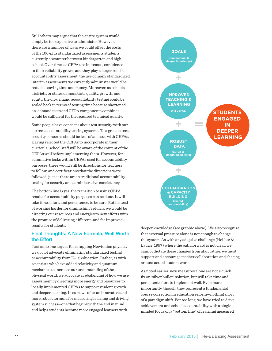Still others may argue that the entire system would simply be too expensive to administer. However, there are a number of ways we could offset the costs of the 100-plus standardized assessments students currently encounter between kindergarten and high school. Over time, as CEPA use increases, confidence in their reliability grows, and they play a larger role in accountability assessment, the use of many standardized interim assessments we currently administer would be reduced, saving time and money. Moreover, as schools, districts, or states demonstrate quality, growth, and equity, the on-demand accountability testing could be scaled back in terms of testing time because shortened on-demand tests and CEPA components combined would be sufficient for the required technical quality.

Some people have concerns about test security with our current accountability testing systems. To a great extent, security concerns should be less of an issue with CEPAs. Having selected the CEPAs to incorporate in their curricula, school staff will be aware of the content of the CEPAs well before implementing them. However, for summative tasks within CEPAs used for accountability purposes, there would still be directions for teachers to follow, and certifications that the directions were followed, just as there are in traditional accountability testing for security and administrative consistency.

The bottom line is yes, the transition to using CEPA results for accountability purposes can be done. It will take time, effort, and persistence, to be sure. But instead of working harder for diminishing returns, we would be directing our resources and energies to new efforts with the promise of delivering different–and far improved– results for students.

# Final Thoughts: A New Formula, Well Worth the Effort

Just as no one argues for scrapping Newtonian physics, we do not advocate eliminating standardized testing or accountability from K–12 education. Rather, as with scientists who have added relativity and quantum mechanics to increase our understanding of the physical world, we advocate a rebalancing of how we use assessment by directing more energy and resources to locally implemented CEPAs to support student growth and deeper learning. In sum, we offer an innovative and more robust formula for measuring learning and driving system success—one that begins with the end in mind and helps students become more engaged learners with



deeper knowledge (see graphic above). We also recognize that external pressure alone is not enough to change the system. As with any adaptive challenge (Heifetz & Laurie, 1997) where the path forward is not clear, we cannot dictate these changes from afar; rather, we must support and encourage teacher collaboration and sharing around actual student work.

As noted earlier, new measures alone are not a quick fix or "silver bullet" solution, but will take time and persistent effort to implement well. Even more importantly, though, they represent a fundamental course correction in education reform—nothing short of a paradigm shift. For too long, we have tried to drive achievement and school accountability with a singleminded focus on a "bottom line" of learning measured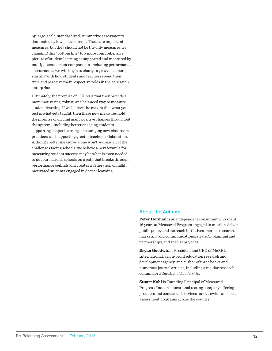by large-scale, standardized, summative assessments dominated by lower-level items. These are important measures, but they should not be the only measures. By changing this "bottom line" to a more comprehensive picture of student learning as supported and measured by multiple assessment components, including performance assessments, we will begin to change a great deal more, starting with how students and teachers spend their time and perceive their respective roles in the education enterprise.

Ultimately, the promise of CEPAs is that they provide a more motivating, robust, and balanced way to measure student learning. If we believe the maxim that what you test is what gets taught, then these new measures hold the promise of driving many positive changes throughout the system—including better engaging students, supporting deeper learning, encouraging new classroom practices, and supporting greater teacher collaboration. Although better measures alone won't address all of the challenges facing schools, we believe a new formula for measuring student success may be what is most needed to put our nation's schools on a path that breaks through performance ceilings and creates a generation of highly motivated students engaged in deeper learning.

# About the Authors

**Peter Hofman** is an independent consultant who spent 16 years at Measured Progress engaged in mission-driven public policy and outreach initiatives, market research, marketing and communications, strategic planning and partnerships, and special projects.

**Bryan Goodwin** is President and CEO of McREL International, a non-profit education research and development agency, and author of three books and numerous journal articles, including a regular research column for *Educational Leadership*.

**Stuart Kahl** is Founding Principal of Measured Progress, Inc., an educational testing company offering products and contracted services for statewide and local assessment programs across the country.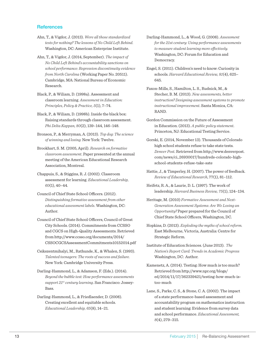# **References**

- Ahn, T., & Vigdor, J. (2013). *Were all those standardized tests for nothing? The lessons of No Child Left Behind.* Washington, DC: American Enterprise Institute.
- Ahn, T., & Vigdor, J. (2014, September). *The impact of No Child Left Behind's accountability sanctions on school performance: Regression discontinuity evidence from North Carolina* (Working Paper No. 20511). Cambridge, MA: National Bureau of Economic Research.
- Black, P., & Wiliam, D. (1998a). Assessment and classroom learning*. Assessment in Education: Principles, Policy & Practice, 5*(1), 7–74.
- Black, P., & Wiliam, D. (1998b). Inside the black box: Raising standards through classroom assessment. *Phi Delta Kappan, 80*(2), 139–144, 146–148.
- Bronson, P., & Merryman, A. (2013). *Top dog: The science of winning and losing.* New York: Twelve.
- Brookhart, S. M. (2005, April). *Research on formative classroom assessment*. Paper presented at the annual meeting of the American Educational Research Association, Montreal.
- Chappuis, S., & Stiggins, R. J. (2002). Classroom assessment for learning. *Educational Leadership, 60*(1), 40–44.
- Council of Chief State School Officers. (2012). *Distinguishing formative assessment from other educational assessment labels*. Washington, DC: Author.
- Council of Chief State School Officers, Council of Great City Schools. (2014). Commitments from CCSSO and CGCS on High-Quality Assessments. Retrieved from http://www.ccsso.org/documents/2014/ CSSOCGCSAssessmentCommitments10152014.pdf
- Csikszentmihalyi, M., Rathunde, K., & Whalen, S. (1993). *Talented teenagers: The roots of success and failure.*  New York: Cambridge University Press.
- Darling-Hammond, L., & Adamson, F. (Eds.). (2014). *Beyond the bubble test: How performance assessments support 21st century learning*. San Francisco: Jossey-Bass.
- Darling-Hammond, L., & Friedlaender, D. (2008). Creating excellent and equitable schools. *Educational Leadership, 65*(8), 14–21.
- Darling-Hammond, L., & Wood, G. (2008). *Assessment for the 21st century: Using performance assessments to measure student learning more effectively.*  Washington, DC: Forum for Education and Democracy.
- Engel, S. (2011). Children's need to know: Curiosity in schools. *Harvard Educational Review, 81*(4), 625– 645.
- Faxon-Mills, S., Hamilton, L. S., Rudnick, M., & Stecher, B. M. (2013). *New assessments, better instruction? Designing assessment systems to promote instructional improvement*. Santa Monica, CA: RAND.
- Gordon Commission on the Future of Assessment in Education. (2013). *A public policy statement*. Princeton, NJ: Educational Testing Service.
- Gorski, E. (2014, November 13). Thousands of Colorado high school students refuse to take state tests. *Denver Post*. Retrieved from http://www.denverpost. com/news/ci\_26930017/hundreds-colorado-highschool-students-refuse-take-sate
- Hattie, J., & Timperley, H. (2007). The power of feedback. *Review of Educational Research*, 77(1), 81–112.
- Heifetz, R. A., & Laurie, D. L. (1997). The work of leadership. *Harvard Business Review, 75*(1), 124–134.
- Heritage, M. (2010) *Formative Assessment and Next-Generation Assessment Systems: Are We Losing an Opportunity?* Paper prepared for the Council of Chief State School Officers, Washington, DC.
- Hopkins, D. (2013). *Exploding the myths of school reform.*  East Melbourne, Victoria, Australia: Centre for Strategic Reform.
- Institute of Education Sciences. (June 2013). *The Nation's Report Card: Trends in Academic Progress* Washington, DC: Author.
- Kamenetz, A. (2014). Testing: How much is too much? Retrieved from http://www.npr.org/blogs/ ed/2014/11/17/362339421/testing-how-much-istoo-much
- Lane, S., Parke, C. S., & Stone, C. A. (2002). The impact of a state performance-based assessment and accountability program on mathematics instruction and student learning: Evidence from survey data and school performance. *Educational Assessment, 8*(4), 279–315.